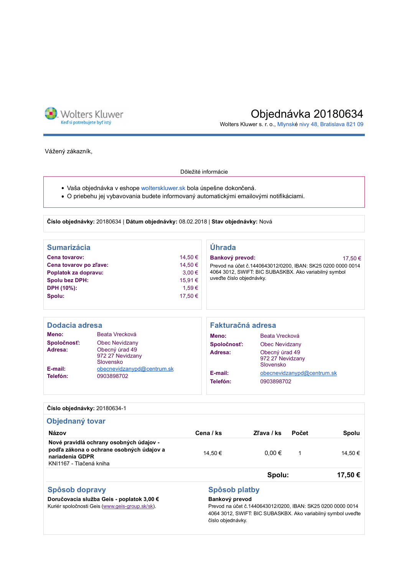

# Objednávka 20180634

Wolters Kluwer s. r. o., Mlynské nivy 48, Bratislava 821 09

Vážený zákazník,

#### Dôležité informácie

- · Vaša objednávka v eshope wolterskluwer.sk bola úspešne dokončená.
- · O priebehu jej vybavovania budete informovaný automatickými emailovými notifikáciami.

Číslo objednávky: 20180634 | Dátum objednávky: 08.02.2018 | Stav objednávky: Nová

| <b>Sumarizácia</b>                                              |                                                 |                                  | Úhrada                                                                                                                                             |                                                 |  |
|-----------------------------------------------------------------|-------------------------------------------------|----------------------------------|----------------------------------------------------------------------------------------------------------------------------------------------------|-------------------------------------------------|--|
| Cena tovarov:<br>Cena tovarov po zľave:<br>Poplatok za dopravu: |                                                 | 14.50 €<br>14,50 €<br>$3.00 \in$ | Bankový prevod:<br>17.50 €<br>Prevod na účet č.1440643012/0200, IBAN: SK25 0200 0000 0014<br>4064 3012, SWIFT: BIC SUBASKBX. Ako variabilný symbol |                                                 |  |
| <b>Spolu bez DPH:</b><br>DPH (10%):                             |                                                 | 15.91 €<br>1,59€                 | uveďte číslo objednávky.                                                                                                                           |                                                 |  |
| Spolu:                                                          |                                                 | 17,50 €                          |                                                                                                                                                    |                                                 |  |
| Dodacia adresa                                                  |                                                 |                                  | Fakturačná adresa                                                                                                                                  |                                                 |  |
| Meno:                                                           | Beata Vrecková                                  |                                  | Meno:                                                                                                                                              | Beata Vrecková                                  |  |
| Spoločnosť:                                                     | Obec Nevidzany                                  |                                  | Spoločnosť:                                                                                                                                        | Obec Nevidzany                                  |  |
| Adresa:                                                         | Obecný úrad 49<br>972 27 Nevidzany<br>Slovensko |                                  | Adresa:                                                                                                                                            | Obecný úrad 49<br>972 27 Nevidzany<br>Slovensko |  |
| E-mail:<br>Tolofón:                                             | obecnevidzanypd@centrum.sk<br><b>MARRASANO</b>  |                                  | E-mail:                                                                                                                                            | obecnevidzanypd@centrum.sk                      |  |

|  | Císlo obiednávky: 20180634-1 |
|--|------------------------------|
|  |                              |

Telefón:

0903898702

| Objednaný tovar                                                                                                                   |           |            |       |         |  |  |  |
|-----------------------------------------------------------------------------------------------------------------------------------|-----------|------------|-------|---------|--|--|--|
| <b>Názov</b>                                                                                                                      | Cena / ks | Zľava / ks | Počet | Spolu   |  |  |  |
| Nové pravidlá ochrany osobných údajov -<br>podľa zákona o ochrane osobných údajov a<br>nariadenia GDPR<br>KNI1167 - Tlačená kniha | 14.50 €   | $0.00 \in$ | 1     | 14.50 € |  |  |  |
|                                                                                                                                   |           | Spolu:     |       | 17.50€  |  |  |  |

Telefón:

## Spôsob dopravy

### Spôsob platby Bankový prevod

Doručovacia služba Geis - poplatok 3,00 € Kuriér spoločnosti Geis (www.geis-group.sk/sk).

#### Prevod na účet č.1440643012/0200, IBAN: SK25 0200 0000 0014 4064 3012, SWIFT: BIC SUBASKBX. Ako variabilný symbol uveďte číslo objednávky.

0903898702